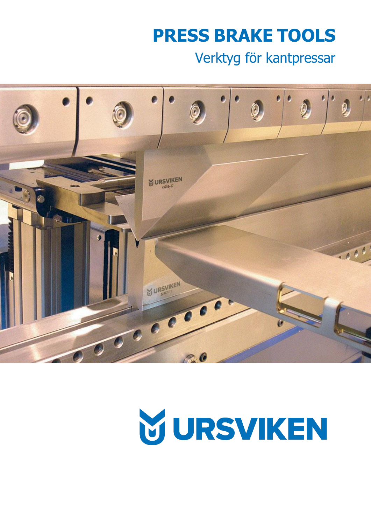# **PRESS BRAKE TOOLS**

## Verktyg för kantpressar



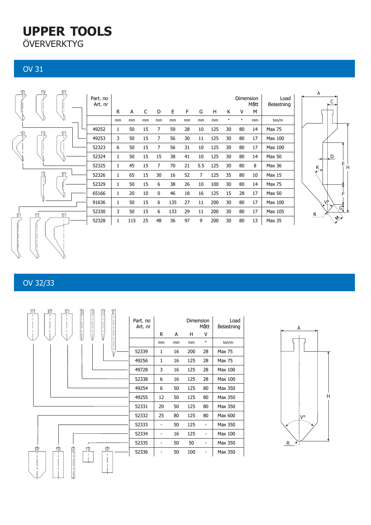## **UPPER TOOLS ÖVERVERKTYG**

OV 31



#### OV 32/33



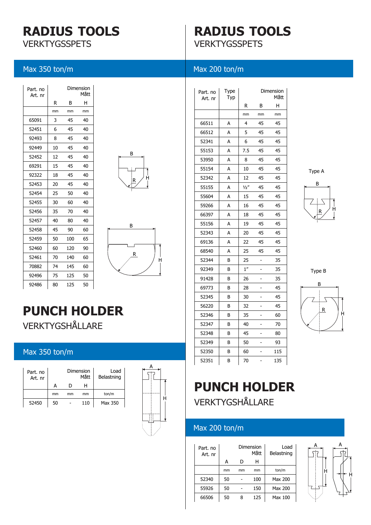# **RADIUS TOOLS**

**VERKTYGSSPETS** 

Max 350 ton/m

## **RADIUS TOOLS VERKTYGSSPETS**

#### Max 200 ton/m

| Part, no<br>Art. nr |    |     | Dimension<br>Mått |
|---------------------|----|-----|-------------------|
|                     | R  | в   | н                 |
|                     | mm | mm  | mm                |
| 65091               | 3  | 45  | 40                |
| 52451               | 6  | 45  | 40                |
| 92493               | 8  | 45  | 40                |
| 92449               | 10 | 45  | 40                |
| 52452               | 12 | 45  | 40                |
| 69291               | 15 | 45  | 40                |
| 92322               | 18 | 45  | 40                |
| 52453               | 20 | 45  | 40                |
| 52454               | 25 | 50  | 40                |
| 52455               | 30 | 60  | 40                |
| 52456               | 35 | 70  | 40                |
| 52457               | 40 | 80  | 40                |
| 52458               | 45 | 90  | 60                |
| 52459               | 50 | 100 | 65                |
| 52460               | 60 | 120 | 90                |
| 52461               | 70 | 140 | 60                |
| 70882               | 74 | 145 | 60                |
| 92496               | 75 | 125 | 50                |
| 92486               | 80 | 125 | 50                |





## **PUNCH HOLDER** VERKTYGSHÅLLARE

#### Max 350 ton/m

| Part. no<br>Art. nr |    |    | Dimension<br>Mått | Load<br>Belastning |
|---------------------|----|----|-------------------|--------------------|
|                     | А  | D  | н                 |                    |
|                     | mm | mm | mm                | ton/m              |
| 52450               | 50 |    | 110               | Max 350            |



| Part. no<br>Art. nr | Type<br>Тур |               |    | Dimension<br>Mått |
|---------------------|-------------|---------------|----|-------------------|
|                     |             | R             | В  | Н                 |
|                     |             | mm            | mm | mm                |
| 66511               | A           | 4             | 45 | 45                |
| 66512               | А           | 5             | 45 | 45                |
| 52341               | А           | 6             | 45 | 45                |
| 55153               | A           | 7.5           | 45 | 45                |
| 53950               | A           | 8             | 45 | 45                |
| 55154               | А           | 10            | 45 | 45                |
| 52342               | А           | 12            | 45 | 45                |
| 55155               | А           | $\frac{1}{2}$ | 45 | 45                |
| 55604               | А           | 15            | 45 | 45                |
| 59266               | А           | 16            | 45 | 45                |
| 66397               | А           | 18            | 45 | 45                |
| 55156               | А           | 19            | 45 | 45                |
| 52343               | A           | 20            | 45 | 45                |
| 69136               | A           | 22            | 45 | 45                |
| 68540               | А           | 25            | 45 | 45                |
| 52344               | в           | 25            |    | 35                |
| 92349               | B           | 1''           |    | 35                |
| 91428               | B           | 26            |    | 35                |
| 69773               | В           | 28            |    | 45                |
| 52345               | В           | 30            |    | 45                |
| 56220               | В           | 32            |    | 45                |
| 52346               | В           | 35            |    | 60                |
| 52347               | В           | 40            |    | 70                |
| 52348               | В           | 45            |    | 80                |
| 52349               | В           | 50            |    | 93                |
| 52350               | В           | 60            |    | 115               |
| 52351               | В           | 70            |    | 135               |





Type B



## **PUNCH HOLDER** VERKTYGSHÅLLARE

#### Max 200 ton/m

| Part, no<br>Art. nr |    |    | Dimension<br>Mått | Load<br>Belastning |
|---------------------|----|----|-------------------|--------------------|
|                     | А  | D  | н                 |                    |
|                     | mm | mm | mm                | ton/m              |
| 52340               | 50 |    | 100               | Max 200            |
| 55926               | 50 |    | 150               | Max 200            |
| 66506               | 50 |    | 125               | Max 100            |

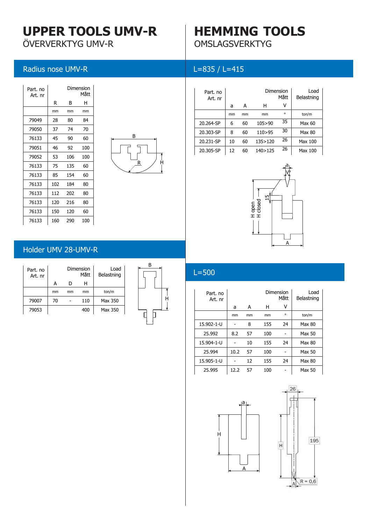## **UPPER TOOLS UMV-R**

ÖVERVERKTYG UMV-R

Radius nose UMV-R

### **HEMMING TOOLS** OMSLAGSVERKTYG

#### L=835 / L=415

| Part, no<br>Art, nr |     |     | Dimension<br>Mått |
|---------------------|-----|-----|-------------------|
|                     | R   | B   | н                 |
|                     | mm  | mm  | mm                |
| 79049               | 28  | 80  | 84                |
| 79050               | 37  | 74  | 70                |
| 76133               | 45  | 90  | 60                |
| 79051               | 46  | 92  | 100               |
| 79052               | 53  | 106 | 100               |
| 76133               | 75  | 135 | 60                |
| 76133               | 85  | 154 | 60                |
| 76133               | 102 | 184 | 80                |
| 76133               | 112 | 202 | 80                |
| 76133               | 120 | 216 | 80                |
| 76133               | 150 | 120 | 60                |
| 76133               | 160 | 290 | 100               |



| Part, no<br>Art. nr |    |    | Dimension | Mått    | Load<br>Belastning |
|---------------------|----|----|-----------|---------|--------------------|
|                     | a  | А  | н         |         |                    |
|                     | mm | mm | mm        | $\circ$ | ton/m              |
| 20.264-SP           | 6  | 60 | 105>90    | 35      | Max 60             |
| 20.303-SP           | 8  | 60 | 110 > 95  | 30      | Max 80             |
| 20.231-SP           | 10 | 60 | 135>120   | 26      | Max 100            |
| 20.305-SP           | 12 | 60 | 140>125   | 26      | Max 100            |



#### Holder UMV 28-UMV-R

| Part. no<br>Art. nr |    |    | Dimension<br>Mått | Load<br>Belastning |
|---------------------|----|----|-------------------|--------------------|
|                     | А  | D  | н                 |                    |
|                     | mm | mm | mm                | ton/m              |
| 79007               | 70 |    | 110               | Max 350            |
| 79053               |    |    | 400               | Max 350            |



#### $L=500$

|                     |      | open<br>ᆂᆂ | m<br>dosed | А       |                    |
|---------------------|------|------------|------------|---------|--------------------|
| $L = 500$           |      |            |            |         |                    |
| Part. no<br>Art. nr |      |            | Dimension  | Mått    | Load<br>Belastning |
|                     | a    | A          | н          | v       |                    |
|                     | mm   | mm         | mm         | $\circ$ | ton/m              |
| 15.902-1-U          |      | 8          | 155        | 24      | Max 80             |
|                     |      |            |            |         |                    |
| 25.992              | 8.2  | 57         | 100        |         | Max 50             |
| 15.904-1-U          |      | 10         | 155        | 24      | Max 80             |
| 25.994              | 10.2 | 57         | 100        |         | Max 50             |
| 15.905-1-U          |      | 12         | 155        | 24      | Max 80             |



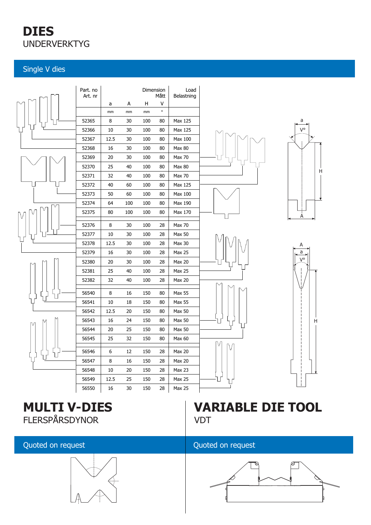## **DIES** UNDERVERKTYG

#### Single V dies



### **MULTI V-DIES** FLERSPÅRSDYNOR

#### Quoted on request



## **VARIABLE DIE TOOL VDT**

#### Quoted on request

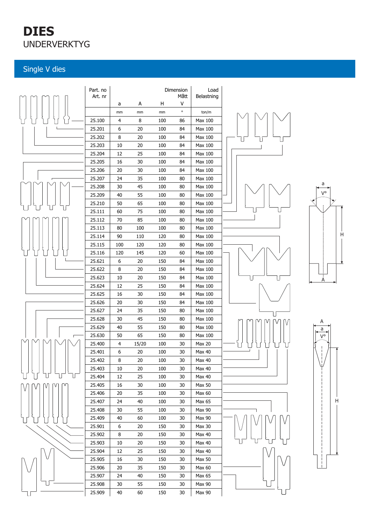## **DIES** UNDERVERKTYG

#### Single V dies

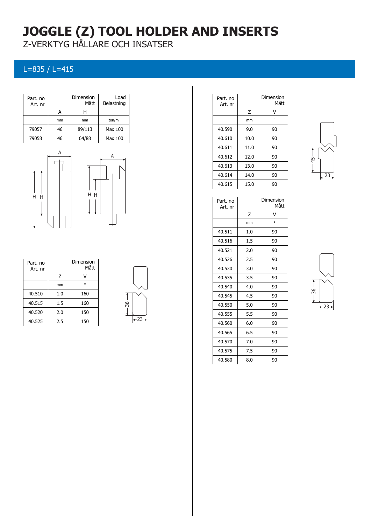## **JOGGLE (Z) TOOL HOLDER AND INSERTS**

Z-VERKTYG HÅLLARE OCH INSATSER

#### L=835 / L=415





| Part, no<br>Art. nr |         | Dimension<br>Mått |
|---------------------|---------|-------------------|
|                     | Ζ       |                   |
|                     | mm      | $\Omega$          |
| 40.510              | 1.0     | 160               |
| 40.515              | $1.5\,$ | 160               |
| 40.520              | 2.0     | 150               |
| 40.525              | 2.5     | 150               |



| Part. no<br>Art. nr |      | Dimension<br>Mått |
|---------------------|------|-------------------|
|                     | Ζ    | v                 |
|                     | mm   | $\circ$           |
| 40.590              | 9.0  | 90                |
| 40.610              | 10.0 | 90                |
| 40.611              | 11.0 | 90                |
| 40.612              | 12.0 | 90                |
| 40.613              | 13.0 | 90                |
| 40.614              | 14.0 | 90                |
| 40.615              | 15.0 | 90                |



| Part. no<br>Art. nr |     | Dimension<br>Mått |
|---------------------|-----|-------------------|
|                     | 7   | v                 |
|                     | mm  | $\circ$           |
| 40.511              | 1.0 | 90                |
| 40.516              | 1.5 | 90                |
| 40.521              | 2.0 | 90                |
| 40.526              | 2.5 | 90                |
| 40.530              | 3.0 | 90                |
| 40.535              | 3.5 | 90                |
| 40.540              | 4.0 | 90                |
| 40.545              | 4.5 | 90                |
| 40.550              | 5.0 | 90                |
| 40.555              | 5.5 | 90                |
| 40.560              | 6.0 | 90                |
| 40.565              | 6.5 | 90                |
| 40.570              | 7.0 | 90                |
| 40.575              | 7.5 | 90                |
| 40.580              | 8.0 | 90                |